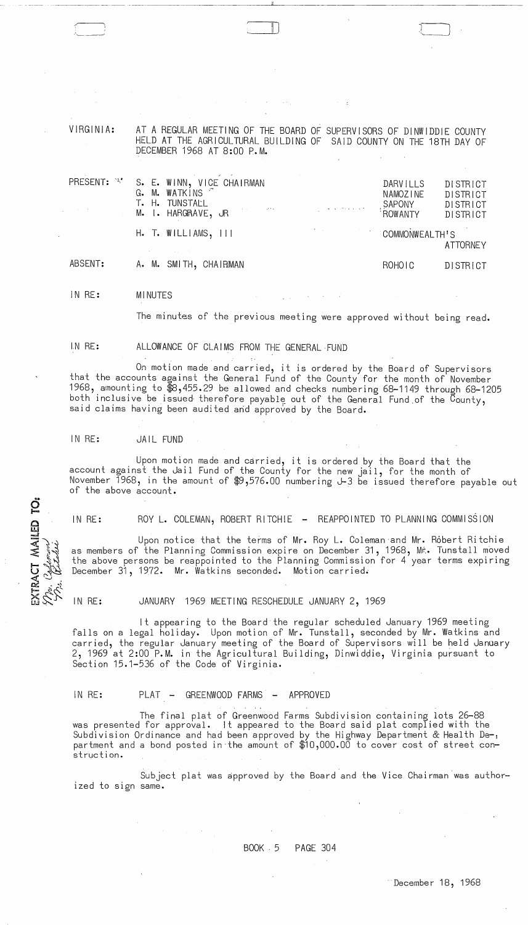VIRGINIA: AT A REGULAR MEETING OF THE BOARD OF SUPERVISORS OF DINWIDDIE COUNTY HELD AT THE AGRICULTURAL BUILDING OF SAID COUNTY ON THE 18TH DAY OF DECEMBER 1968 AT 8:00 P.M.

ill John Stone (1980) and the second state of the second state  $\lambda$ 

| PRESENT: | S. E. WINN, VICE CHAIRMAN<br>G. M. WATKINS<br>T. H. TUNSTALL<br>$\mathcal{O}(\log n)$ , where $\mathcal{O}(\log n)$ , $\mathcal{O}(\log n)$ is a set of the set of $\mathcal{O}(\log n)$<br>M. I. HARGRAVE, JR |                       | DARVILLS<br>NAMOZINE<br>SAPONY<br><b>ROWANTY</b> | DISTRICT<br><b>DISTRICT</b><br><b>DISTRICT</b><br><b>DISTRICT</b> |
|----------|----------------------------------------------------------------------------------------------------------------------------------------------------------------------------------------------------------------|-----------------------|--------------------------------------------------|-------------------------------------------------------------------|
|          | $H.$ T. WILLIAMS, $111$                                                                                                                                                                                        | <b>COMMONWEALTH'S</b> |                                                  | <b>ATTORNEY</b>                                                   |
| ABSENT:  | A. M. SMITH, CHAIRMAN                                                                                                                                                                                          |                       | ROHOIC                                           | DISTRICT                                                          |

IN RE: MINUTES

The minutes of the previous meeting were approved without being read.

IN RE:

EXTRACT MAILED TO:

-:'

\_\,--... -~

On motion made and carried, it is ordered by the Board of Supervisors that the accounts against the General Fund of the County for the month of November 1968, amounting to \$8,455.29 be allowed and checks numbering 68-1149 through 68-1205 both inclusive be issued therefore payable out of the General Fund of the County,<br>said claims having been audited and approved by the Board.

ALLOWANCE OF CLAIMS FROM THE GENERAL FUND

IN RE: JAIL FUND

Upon motion made and carried, it is ordered by the Board that the account against the Jail Fund of the County for the new jail, for the month of November 1968, in the amount of \$9,576.00 numbering J-3 be issued therefore payable out of the above account.

IN RE: ROY L. COLEMAN, ROBERT RITCHIE - REAPPOINTED TO PLANNING COMMISSION

Upon notice that the terms of Mr. Roy L. Coleman and Mr. Robert Ritchie as members of the Planning Commission expire on December 31, 1968, Mr. Tunstall moved the above persons be reappointed to the Planning Commission for 4 year terms expiring December 31, 1972. Mr. Watkins seconded. Motion carried.

IN RE: JANUARY 1969 MEETING RESCHEDULE JANUARY 2, 1969

It appearing to the Board the regular scheduled January 1969 meeting falls on a legal holiday. Upon motion of Mr. Tunstall, seconded by Mr. Watkins and carried, the regular January meeting of the Board of Supervisors will be held January 2, 1969 at 2:00 P.M. in the Agricultural Building, Dinwiddie, Virginia pursuant to Section 15.1-536 of the Code of Virginia.

IN RE: PLAT - GREENWOOD FARMS - APPROVED

The final plat of Greenwood Farms Subdivision containing lots 26-88 was presented for approval. It appeared to the Board said plat complied with the Subdivision Ordinance and had been approved by the Highway Department & Health De-, partment and a bond posted in'the amount of \$10,000.00 to cover cost of street construct ion.

Subject plat was approved by the Board and the Vice Chairman was authorized to sign same.

 $\alpha$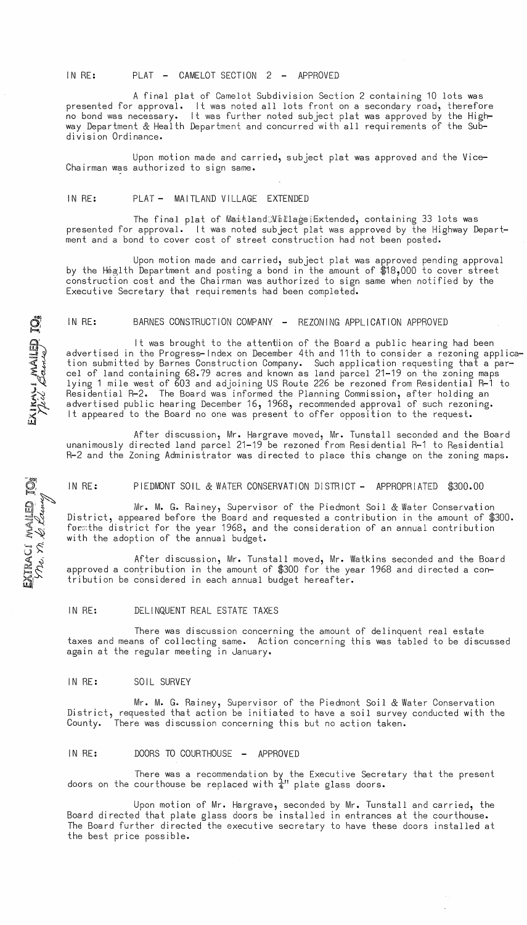#### IN RE: PLAT - CAMELOT SECTION 2 - APPROVED

A final plat of Camelot Subdivision Section 2 containing 10 lots was presented for approval. It was noted all lots front on a secondary road, therefore no bond was necessary. It was further noted subject plat was approved by the Highway Department & Health Department and concurred with all requirements pf the Subdivision Ordinance.

Upon motion made and carried, subject plat was approved and the Vice-Chairman was authorized to sign same.

#### IN RE: PLAT - MAITLAND VILLAGE EXTENDED

The final plat of Maitland:WillageiExtended, containing 33 lots was presented for approval. It was noted subject plat was approved by the Highway Department and a bond to cover cost of street construction had not been posted.

Upon motion made and carried, subject plat was approved pending approval by the Health Department and posting a bond in the amount of \$18,000 to cover street construction cost and the Chairman was authorized to sign same when notified by the Executive Secretary that requirements had been completed.

#### IN RE: BARNES CONSTRUCTION COMPANY - REZONING APPLICATION APPROVED

It was brought to the attention of the Board a public hearing had been advertised in the Progress-Index on December 4th and 11th to consider a rezoning application submitted by Barnes Construction Company. Such application requesting that a parcel of land containing 68.79 acres and known as land parcel 21-19 on the zoning maps lying 1 mile west of 603 and adjoining US Route 226 be rezoned from Residential R-1 to Residential R-2. The Board was informed the Planning Commission, after holding an advertised public hearing December 16, 1968, recommended approval of such rezoning. It appeared to the Board no one was present to offer opposition to the request.

After discussion, Mr. Hargrave moved, Mr. Tunstall seconded and the Board unanimously directed land parcel 21-19 be rezoned from Residential R-1 to Residential R-2 and the Zoning Administrator was directed to place this change on the zoning maps.

#### IN RE: PIEDMONT SOIL & WATER CONSERVATION DISTRICT - APPROPRIATED \$300.00

Mr. M. G. Rainey, Supervisor of the Piedmont Soil & Water Conservation District, appeared before the Board and requested a contribution in the amount of \$300. form the district for the year 1968, and the consideration of an annual contribution with the adoption of the annual budget.

After discussion, Mr. Tunstall moved, Mr. Watkins seconded and the Board approved a contribution in the amount of \$300 for the year 1968 and directed a contribution be considered in each annual budget hereafter.

#### IN RE: DELINQUENT REAL ESTATE TAXES

There was discussion concerning the amount of delinquent real estate taxes and means of collecting same. Action concerning this was tabled to be discussed again at the regular meeting in January.

### IN RE: SOIL SURVEY

Mr. M. G. Rainey, Supervisor of the Piedmont Soil & Water Conservation District, requested that action be initiated to have a soil survey conducted with the County. There was discussion concerning this but no action taken.

IN RE: DOORS TO COURTHOUSE - APPROVED

There was a recommendation by the Executive Secretary that the present doors on the courthouse be replaced with  $\frac{1}{4}$ " plate glass doors.

Upon motion of Mr. Hargrave, seconded by Mr. Tunstall and carried, the Board directed that plate glass doors be installed in entrances at the courthouse. The Board further directed the executive secretary to have these doors installed at the best price possible.

ENAIL  $\geq$   $\sim$  $\sim$ lJ.I

 $\hat{\cap}$ 

wallet<br>2 *Kan* 

 $\approx$   $\vee$  $\mathbb{Z} \not\subset \mathbb{Z}$ 

 $\mathbb{R}^{\mathcal{L}}$  $\mathbb{Z}^2$ 

 $\vec{\mathbf{Q}}$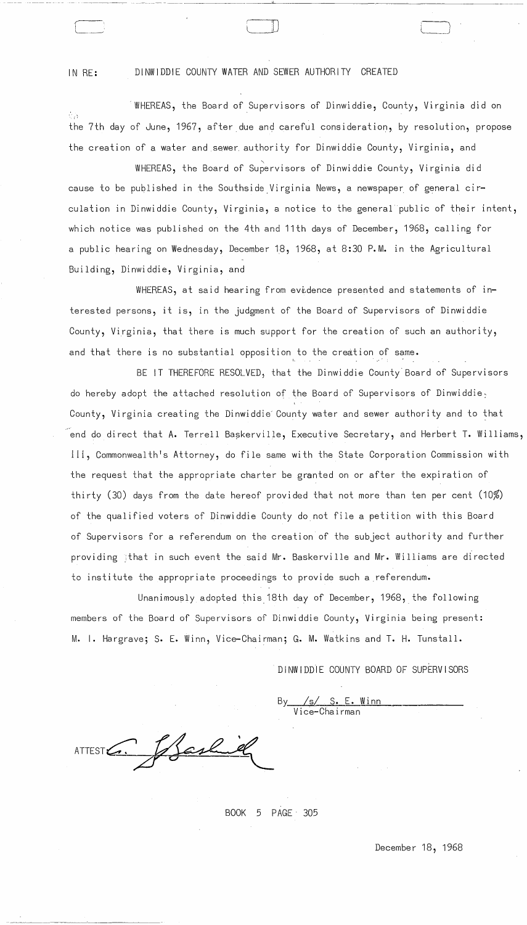IN RE: DINWIDDIE COUNTY WATER AND SEWER AUTHORITY CREATED

WHEREAS, the Board of Supervisors of Dinwiddie, County, Virginia did on रो है। the 7th day of June, 1967, after due and careful consideration, by resolution, propose the creation of a water and sewer authority for Dinwiddie County, Virginia, and

') )

WHEREAS, the Board of Supervisors of Dinwiddie County, Virginia did cause to be published in the Southside Virginia News, a newspaper of general circulation in Dinwiddie County, Virginia, a notice to the general public of their intent, which notice was published on the 4th and 11th days of December, 1968, calling for a public hearing on Wednesday, December 18, 1968, at 8:30 P. M. in the Agricultural Building, Dinwiddie, Virginia, and

WHEREAS, at said hearing from evidence presented and statements of interested persons, it is, in the judgment of the Board of Supervisors of Dinwiddie County, Virginia, that there is much support for the creation of such an authority, and that there is no substantial opposition to the creation of same.

BE IT THEREFORE RESOLVED, that the Dinwiddie County'Board of Supervisors do hereby adopt the attached resolution of the Board of Supervisors of Dinwiddie: County, Virginia creating the Dinwiddie' County water and sewer authority and to that end do direct that A. Terrell Baskerville, Executive Secretary, and Herbert T. Williams, IIi, Commonwealth's Attorney, do file same with the State Corporation Commission with the request that the appropriate charter be granted on or after the expiration of thirty (30) days from the date hereof provided that not more than ten per cent (10%) of the qualified voters of Dinwiddie County do not file a petition with this Board of Supervisors for a referendum on the creation of the subject authority and further providing ; that in such event the said Mr. Baskerville and Mr. Williams are directed to institute the appropriate proceedings to provide such a referendum.

Unanimously adopted this,18th day of December, 1968, the following members of the Board of Supervisors of Dinwiddie County, Virginia being present: M. I. Hargrave; S. E. Winn, Vice-Chairman; G. M. Watkins and T. H. Tunstall.

D I NW I DDI E COUNTY BOARD OF SUPERV I SORS

By *lsi* s. E. Winn V ice-Cha i rman

ash

BOOK 5 PAGE' 305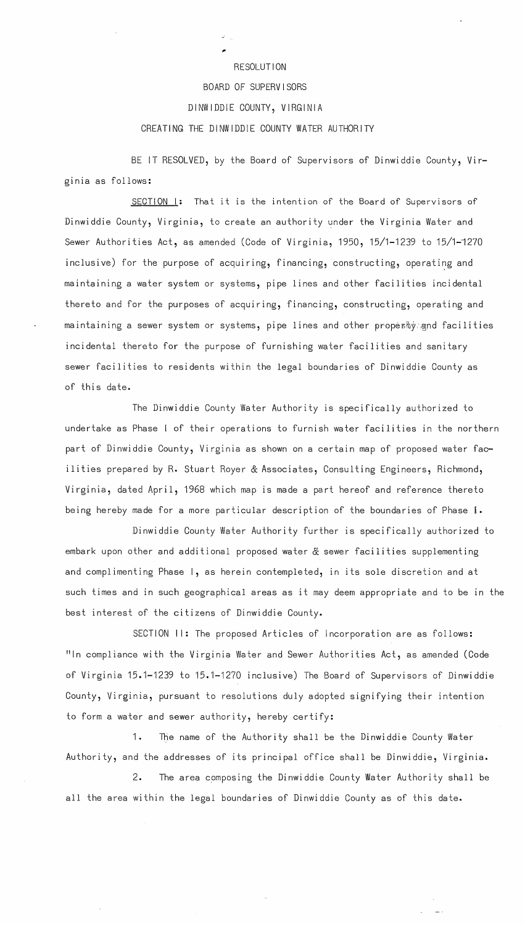# RESOLUTION BOARD OF SUPERVISORS DINWIDDIE COUNTY, VIRGINIA CREATING THE DINWIDDIE COUNTY WATER AUTHORITY

BE IT RESOLVED, by the Board of Supervisors of Dinwiddie County, Virginia as follows:

SECTION 1: That it is the intention of the Board of Supervisors of Dinwiddie County, Virginia, to create an authority under the Virginia Water and Sewer Authorities Act, as amended (Code of Virginia, 1950, 15/1-1239 to 15/1-1270 inclusive) for the purpose of acquiring, financing, constructing, operating and maintaining a water system or systems, pipe lines and other facilities incidental thereto and for the purposes of acquiring, financing, constructing, operating and maintaining a sewer system or systems, pipe lines and other propestyingnd facilities incidental thereto for the purpose of furnishing water facilities and sanitary sewer facilities to residents within the legal boundaries of Dinwiddie County as .of this date.

The Dinwiddie County Water Authority is specifically authorized ta undertake as Phase I of their operations to furnish water facilities in the northern part of Dinwiddie County, Virginia as shown on a certain map of proposed water facilities prepared by R. Stuart Royer & Associates, Consulting Engineers, Richmond, Virginia, dated April, 1968 which map is made a part hereof and reference thereto being hereby made for a more particular description of the boundaries of Phase I.

Dinwiddie County Water Authority further is specifically authorized ta embark upon other and additional proposed water & sewer facilities supplementing and complimenting Phase 1, as herein contempleted, in its sole discretion and at such times and in such geographical areas as it may deem appropriate and to be in the best interest of the citizens of Dinwiddie County.

SECTION II: The proposed Articles of Incorporation are as follows: "In compliance with the Virginia Water and Sewer Authorities Act, as amended (Code .of Virginia 15.1-1239 to 15.1-1270 inclusive) The Board of Supervisors of Dinwiddie County, Virginia, pursuant to resolutions duly adopted signifying their intention to form a water and sewer authority, hereby certify:

1. The name of the Authority shall be the Dinwiddie County Water Authority, and the addresses of its principal office shall be Dinwiddie, Virginia.

2. The area composing the Dinwiddie County Water Authority shall be all the area within the legal boundaries of Dinwiddie County as of this date.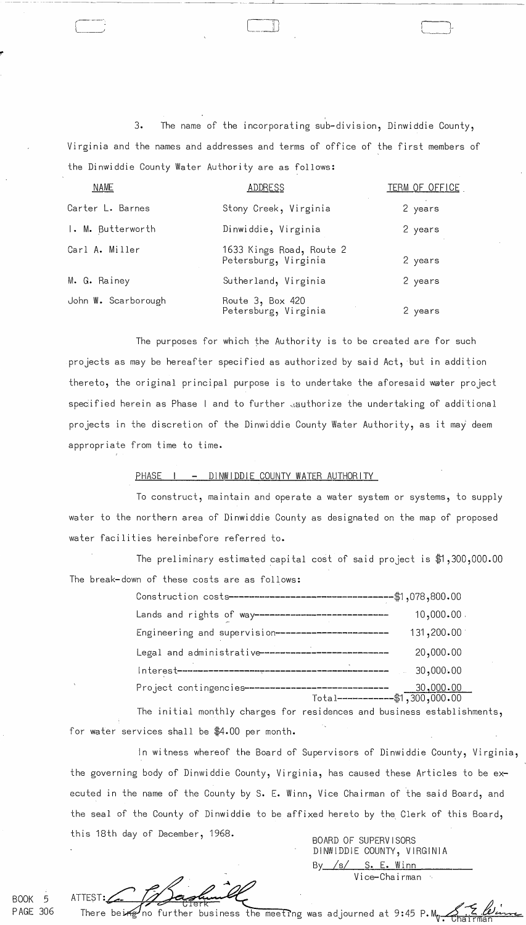3. The name of the incorporating sub-division, Dinwiddie County, Virginia and the names and addresses and terms of office of the first members of the Dinwiddie County Water Authority are as follows:

----.. ---~~--~- ---. ~~~~-

| <b>NAME</b>         | ADDRESS                                          | <u>TERM OF OFFICE</u> |
|---------------------|--------------------------------------------------|-----------------------|
| Carter L. Barnes    | Stony Creek, Virginia                            | 2 years               |
| I. M. Butterworth   | Dinwiddie, Virginia                              | 2 years               |
| Carl A. Miller      | 1633 Kings Road, Route 2<br>Petersburg, Virginia | 2 years               |
| M. G. Rainey        | Sutherland, Virginia                             | 2 years               |
| John W. Scarborough | Route 3, Box 420<br>Petersburg, Virginia         | 2 years               |

The purposes for which the Authority is to be created are for such projects as may be hereafter specified as authorized by said Act, but in addition thereto, the original principal purpose is to undertake the aforesaid water project specified herein as Phase I and to further aauthorize the undertaking of additional projects in the discretion of the Dinwiddie County Water Authority, as it may deem appropriate from time to time.

## PHASE I - DINWIDDIE COUNTY WATER AUTHORITY

To construct, maintain and operate a water system or systems, to supply water to the northern area of Dinwiddie County as designated on the map of proposed water facilities hereinbefore referred to.

The preliminary estimated capital cost of said project is  $$1,300,000.00$ The break-down of these costs are as follows:

| Lands and rights of way---------------------------  | $10,000.00$ . |
|-----------------------------------------------------|---------------|
| Engineering and supervision------------------------ | 131,200.00    |
| Legal and administrative-------------------------   | 20,000.00     |
|                                                     | 30,000.00     |
|                                                     |               |

The initial monthly charges for residences and business establishments, for water services shall be \$4.00 per month.

In witness whereof the Board of Supervisors of Dinwiddie County, Virginia, the governing body of Dinwiddie County, Virginia, has caused these Articles to be executed in the name of the County by S. E. Winn, Vice Chairman of the said Board, and the seal of the County of Dinwiddie to be affixed hereto by the Clerk of this Board, this 18th day of December, 1968.<br>BOARD OF SUPERVISORS

DINWIDDIE COUNTY, VIRGINIA  $By /s/$  S. E. Winn Vi ce-Cha i rman  $\mathcal{A}_2$ 

BOOK 5 PAGE 306

There beine

 $\prime$ no further business the meeting was adjourned at 9:45 P.M.